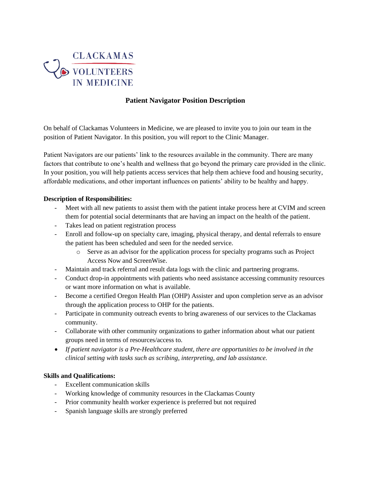

# **Patient Navigator Position Description**

On behalf of Clackamas Volunteers in Medicine, we are pleased to invite you to join our team in the position of Patient Navigator. In this position, you will report to the Clinic Manager.

Patient Navigators are our patients' link to the resources available in the community. There are many factors that contribute to one's health and wellness that go beyond the primary care provided in the clinic. In your position, you will help patients access services that help them achieve food and housing security, affordable medications, and other important influences on patients' ability to be healthy and happy.

## **Description of Responsibilities:**

- Meet with all new patients to assist them with the patient intake process here at CVIM and screen them for potential social determinants that are having an impact on the health of the patient.
- Takes lead on patient registration process
- Enroll and follow-up on specialty care, imaging, physical therapy, and dental referrals to ensure the patient has been scheduled and seen for the needed service.
	- o Serve as an advisor for the application process for specialty programs such as Project Access Now and ScreenWise.
- Maintain and track referral and result data logs with the clinic and partnering programs.
- Conduct drop-in appointments with patients who need assistance accessing community resources or want more information on what is available.
- Become a certified Oregon Health Plan (OHP) Assister and upon completion serve as an advisor through the application process to OHP for the patients.
- Participate in community outreach events to bring awareness of our services to the Clackamas community.
- Collaborate with other community organizations to gather information about what our patient groups need in terms of resources/access to.
- *If patient navigator is a Pre-Healthcare student, there are opportunities to be involved in the clinical setting with tasks such as scribing, interpreting, and lab assistance.*

#### **Skills and Qualifications:**

- Excellent communication skills
- Working knowledge of community resources in the Clackamas County
- Prior community health worker experience is preferred but not required
- Spanish language skills are strongly preferred